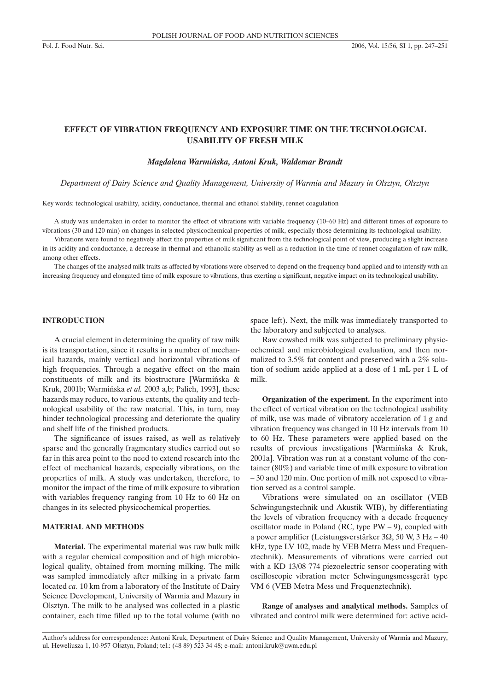# **EFFECT OF VIBRATION FREQUENCY AND EXPOSURE TIME ON THE TECHNOLOGICAL USABILITY OF FRESH MILK**

#### *Magdalena Warmiñska, Antoni Kruk, Waldemar Brandt*

*Department of Dairy Science and Quality Management, University of Warmia and Mazury in Olsztyn, Olsztyn*

Key words: technological usability, acidity, conductance, thermal and ethanol stability, rennet coagulation

A study was undertaken in order to monitor the effect of vibrations with variable frequency (10–60 Hz) and different times of exposure to vibrations (30 and 120 min) on changes in selected physicochemical properties of milk, especially those determining its technological usability.

Vibrations were found to negatively affect the properties of milk significant from the technological point of view, producing a slight increase in its acidity and conductance, a decrease in thermal and ethanolic stability as well as a reduction in the time of rennet coagulation of raw milk, among other effects.

The changes of the analysed milk traits as affected by vibrations were observed to depend on the frequency band applied and to intensify with an increasing frequency and elongated time of milk exposure to vibrations, thus exerting a significant, negative impact on its technological usability.

# **INTRODUCTION**

A crucial element in determining the quality of raw milk is its transportation, since it results in a number of mechanical hazards, mainly vertical and horizontal vibrations of high frequencies. Through a negative effect on the main constituents of milk and its biostructure [Warmiñska & Kruk, 2001b; Warmiñska *et al.* 2003 a,b; Palich, 1993], these hazards may reduce, to various extents, the quality and technological usability of the raw material. This, in turn, may hinder technological processing and deteriorate the quality and shelf life of the finished products.

The significance of issues raised, as well as relatively sparse and the generally fragmentary studies carried out so far in this area point to the need to extend research into the effect of mechanical hazards, especially vibrations, on the properties of milk. A study was undertaken, therefore, to monitor the impact of the time of milk exposure to vibration with variables frequency ranging from 10 Hz to 60 Hz on changes in its selected physicochemical properties.

### **MATERIAL AND METHODS**

**Material.** The experimental material was raw bulk milk with a regular chemical composition and of high microbiological quality, obtained from morning milking. The milk was sampled immediately after milking in a private farm located *ca.* 10 km from a laboratory of the Institute of Dairy Science Development, University of Warmia and Mazury in Olsztyn. The milk to be analysed was collected in a plastic container, each time filled up to the total volume (with no space left). Next, the milk was immediately transported to the laboratory and subjected to analyses.

Raw cowshed milk was subjected to preliminary physicochemical and microbiological evaluation, and then normalized to 3.5% fat content and preserved with a 2% solution of sodium azide applied at a dose of 1 mL per 1 L of milk.

**Organization of the experiment.** In the experiment into the effect of vertical vibration on the technological usability of milk, use was made of vibratory acceleration of 1 g and vibration frequency was changed in 10 Hz intervals from 10 to 60 Hz. These parameters were applied based on the results of previous investigations [Warmiñska & Kruk, 2001a]. Vibration was run at a constant volume of the container (80%) and variable time of milk exposure to vibration – 30 and 120 min. One portion of milk not exposed to vibration served as a control sample.

Vibrations were simulated on an oscillator (VEB Schwingungstechnik und Akustik WIB), by differentiating the levels of vibration frequency with a decade frequency oscillator made in Poland (RC, type  $PW - 9$ ), coupled with a power amplifier (Leistungsverstärker 3 $\Omega$ , 50 W, 3 Hz – 40 kHz, type LV 102, made by VEB Metra Mess und Frequenztechnik). Measurements of vibrations were carried out with a KD 13/08 774 piezoelectric sensor cooperating with oscilloscopic vibration meter Schwingungsmessgerät type VM 6 (VEB Metra Mess und Frequenztechnik).

**Range of analyses and analytical methods.** Samples of vibrated and control milk were determined for: active acid-

Author's address for correspondence: Antoni Kruk, Department of Dairy Science and Quality Management, University of Warmia and Mazury, ul. Heweliusza 1, 10-957 Olsztyn, Poland; tel.: (48 89) 523 34 48; e-mail: antoni.kruk@uwm.edu.pl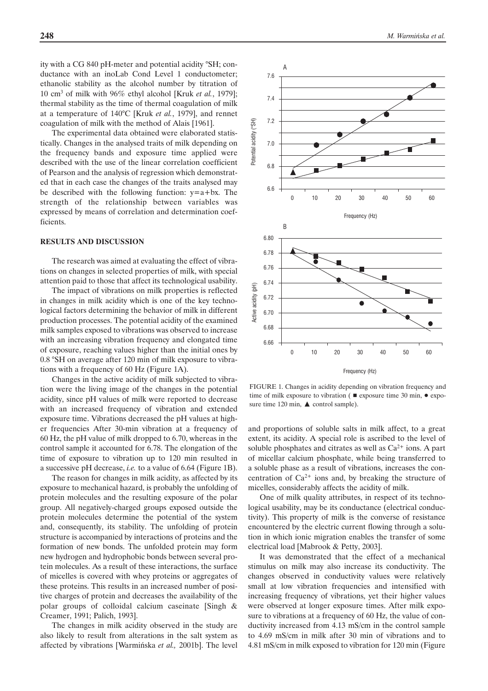ity with a CG 840 pH-meter and potential acidity °SH; conductance with an inoLab Cond Level 1 conductometer; ethanolic stability as the alcohol number by titration of 10 cm3 of milk with 96% ethyl alcohol [Kruk *et al.*, 1979]; thermal stability as the time of thermal coagulation of milk at a temperature of 140°C [Kruk *et al.*, 1979], and rennet coagulation of milk with the method of Alais [1961].

The experimental data obtained were elaborated statistically. Changes in the analysed traits of milk depending on the frequency bands and exposure time applied were described with the use of the linear correlation coefficient of Pearson and the analysis of regression which demonstrated that in each case the changes of the traits analysed may be described with the following function:  $y=a+bx$ . The strength of the relationship between variables was expressed by means of correlation and determination coefficients.

### **RESULTS AND DISCUSSION**

The research was aimed at evaluating the effect of vibrations on changes in selected properties of milk, with special attention paid to those that affect its technological usability.

The impact of vibrations on milk properties is reflected in changes in milk acidity which is one of the key technological factors determining the behavior of milk in different production processes. The potential acidity of the examined milk samples exposed to vibrations was observed to increase with an increasing vibration frequency and elongated time of exposure, reaching values higher than the initial ones by 0.8 °SH on average after 120 min of milk exposure to vibrations with a frequency of 60 Hz (Figure 1A).

Changes in the active acidity of milk subjected to vibration were the living image of the changes in the potential acidity, since pH values of milk were reported to decrease with an increased frequency of vibration and extended exposure time. Vibrations decreased the pH values at higher frequencies After 30-min vibration at a frequency of 60 Hz, the pH value of milk dropped to 6.70, whereas in the control sample it accounted for 6.78. The elongation of the time of exposure to vibration up to 120 min resulted in a successive pH decrease, *i.e.* to a value of 6.64 (Figure 1B).

The reason for changes in milk acidity, as affected by its exposure to mechanical hazard, is probably the unfolding of protein molecules and the resulting exposure of the polar group. All negatively-charged groups exposed outside the protein molecules determine the potential of the system and, consequently, its stability. The unfolding of protein structure is accompanied by interactions of proteins and the formation of new bonds. The unfolded protein may form new hydrogen and hydrophobic bonds between several protein molecules. As a result of these interactions, the surface of micelles is covered with whey proteins or aggregates of these proteins. This results in an increased number of positive charges of protein and decreases the availability of the polar groups of colloidal calcium caseinate [Singh & Creamer, 1991; Palich, 1993].

The changes in milk acidity observed in the study are also likely to result from alterations in the salt system as affected by vibrations [Warmiñska *et al.,* 2001b]. The level



FIGURE 1. Changes in acidity depending on vibration frequency and time of milk exposure to vibration ( $\blacksquare$  exposure time 30 min,  $\lozenge$  exposure time 120 min,  $\triangle$  control sample).

and proportions of soluble salts in milk affect, to a great extent, its acidity. A special role is ascribed to the level of soluble phosphates and citrates as well as  $Ca^{2+}$  ions. A part of micellar calcium phosphate, while being transferred to a soluble phase as a result of vibrations, increases the concentration of  $Ca^{2+}$  ions and, by breaking the structure of micelles, considerably affects the acidity of milk.

One of milk quality attributes, in respect of its technological usability, may be its conductance (electrical conductivity). This property of milk is the converse of resistance encountered by the electric current flowing through a solution in which ionic migration enables the transfer of some electrical load [Mabrook & Petty, 2003].

It was demonstrated that the effect of a mechanical stimulus on milk may also increase its conductivity. The changes observed in conductivity values were relatively small at low vibration frequencies and intensified with increasing frequency of vibrations, yet their higher values were observed at longer exposure times. After milk exposure to vibrations at a frequency of 60 Hz, the value of conductivity increased from 4.13 mS/cm in the control sample to 4.69 mS/cm in milk after 30 min of vibrations and to 4.81 mS/cm in milk exposed to vibration for 120 min (Figure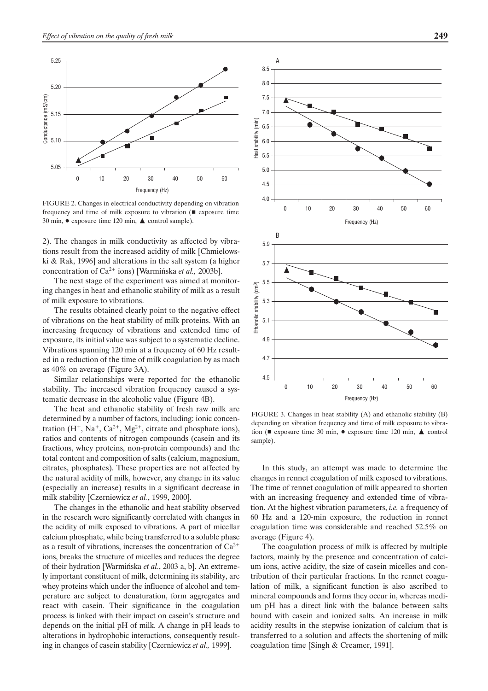

FIGURE 2. Changes in electrical conductivity depending on vibration frequency and time of milk exposure to vibration  $($   $\blacksquare$  exposure time 30 min,  $\bullet$  exposure time 120 min,  $\blacktriangle$  control sample).

2). The changes in milk conductivity as affected by vibrations result from the increased acidity of milk [Chmielowski & Rak, 1996] and alterations in the salt system (a higher concentration of Ca2+ ions) [Warmiñska *et al.,* 2003b].

The next stage of the experiment was aimed at monitoring changes in heat and ethanolic stability of milk as a result of milk exposure to vibrations.

The results obtained clearly point to the negative effect of vibrations on the heat stability of milk proteins. With an increasing frequency of vibrations and extended time of exposure, its initial value was subject to a systematic decline. Vibrations spanning 120 min at a frequency of 60 Hz resulted in a reduction of the time of milk coagulation by as mach as 40% on average (Figure 3A).

Similar relationships were reported for the ethanolic stability. The increased vibration frequency caused a systematic decrease in the alcoholic value (Figure 4B).

The heat and ethanolic stability of fresh raw milk are determined by a number of factors, including: ionic concentration  $(H^+, Na^+, Ca^{2+}, Mg^{2+},$  citrate and phosphate ions), ratios and contents of nitrogen compounds (casein and its fractions, whey proteins, non-protein compounds) and the total content and composition of salts (calcium, magnesium, citrates, phosphates). These properties are not affected by the natural acidity of milk, however, any change in its value (especially an increase) results in a significant decrease in milk stability [Czerniewicz *et al.*, 1999, 2000].

The changes in the ethanolic and heat stability observed in the research were significantly correlated with changes in the acidity of milk exposed to vibrations. A part of micellar calcium phosphate, while being transferred to a soluble phase as a result of vibrations, increases the concentration of  $Ca^{2+}$ ions, breaks the structure of micelles and reduces the degree of their hydration [Warmiñska *et al.*, 2003 a, b]. An extremely important constituent of milk, determining its stability, are whey proteins which under the influence of alcohol and temperature are subject to denaturation, form aggregates and react with casein. Their significance in the coagulation process is linked with their impact on casein's structure and depends on the initial pH of milk. A change in pH leads to alterations in hydrophobic interactions, consequently resulting in changes of casein stability [Czerniewicz *et al.,* 1999].



FIGURE 3. Changes in heat stability (A) and ethanolic stability (B) depending on vibration frequency and time of milk exposure to vibration ( $\blacksquare$  exposure time 30 min,  $\lozenge$  exposure time 120 min,  $\blacktriangle$  control sample).

In this study, an attempt was made to determine the changes in rennet coagulation of milk exposed to vibrations. The time of rennet coagulation of milk appeared to shorten with an increasing frequency and extended time of vibration. At the highest vibration parameters, *i.e.* a frequency of 60 Hz and a 120-min exposure, the reduction in rennet coagulation time was considerable and reached 52.5% on average (Figure 4).

The coagulation process of milk is affected by multiple factors, mainly by the presence and concentration of calcium ions, active acidity, the size of casein micelles and contribution of their particular fractions. In the rennet coagulation of milk, a significant function is also ascribed to mineral compounds and forms they occur in, whereas medium pH has a direct link with the balance between salts bound with casein and ionized salts. An increase in milk acidity results in the stepwise ionization of calcium that is transferred to a solution and affects the shortening of milk coagulation time [Singh & Creamer, 1991].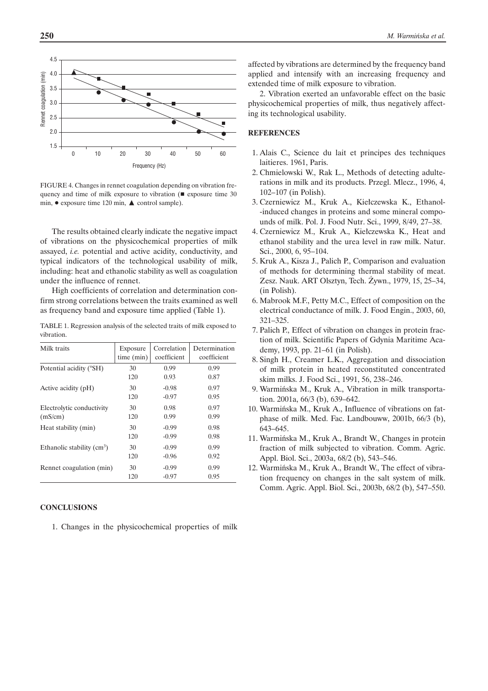

FIGURE 4. Changes in rennet coagulation depending on vibration frequency and time of milk exposure to vibration ( $\blacksquare$  exposure time 30 min,  $\bullet$  exposure time 120 min,  $\blacktriangle$  control sample).

The results obtained clearly indicate the negative impact of vibrations on the physicochemical properties of milk assayed, *i.e.* potential and active acidity, conductivity, and typical indicators of the technological usability of milk, including: heat and ethanolic stability as well as coagulation under the influence of rennet.

High coefficients of correlation and determination confirm strong correlations between the traits examined as well as frequency band and exposure time applied (Table 1).

TABLE 1. Regression analysis of the selected traits of milk exposed to vibration.

| Milk traits                 | Exposure   | Correlation | Determination |
|-----------------------------|------------|-------------|---------------|
|                             | time (min) | coefficient | coefficient   |
| Potential acidity (°SH)     | 30         | 0.99        | 0.99          |
|                             | 120        | 0.93        | 0.87          |
| Active acidity (pH)         | 30         | $-0.98$     | 0.97          |
|                             | 120        | $-0.97$     | 0.95          |
| Electrolytic conductivity   | 30         | 0.98        | 0.97          |
| (mS/cm)                     | 120        | 0.99        | 0.99          |
| Heat stability (min)        | 30         | $-0.99$     | 0.98          |
|                             | 120        | $-0.99$     | 0.98          |
| Ethanolic stability $(cm3)$ | 30         | $-0.99$     | 0.99          |
|                             | 120        | $-0.96$     | 0.92          |
| Rennet coagulation (min)    | 30         | $-0.99$     | 0.99          |
|                             | 120        | $-0.97$     | 0.95          |

# **CONCLUSIONS**

1. Changes in the physicochemical properties of milk

affected by vibrations are determined by the frequency band applied and intensify with an increasing frequency and extended time of milk exposure to vibration.

2. Vibration exerted an unfavorable effect on the basic physicochemical properties of milk, thus negatively affecting its technological usability.

## **REFERENCES**

- 1. Alais C., Science du lait et principes des techniques laitieres. 1961, Paris.
- 2. Chmielowski W., Rak L., Methods of detecting adulterations in milk and its products. Przegl. Mlecz., 1996, 4, 102–107 (in Polish).
- 3. Czerniewicz M., Kruk A., Kiełczewska K., Ethanol--induced changes in proteins and some mineral compounds of milk. Pol. J. Food Nutr. Sci., 1999, 8/49, 27–38.
- 4. Czerniewicz M., Kruk A., Kiełczewska K., Heat and ethanol stability and the urea level in raw milk. Natur. Sci., 2000, 6, 95–104.
- 5. Kruk A., Kisza J., Palich P., Comparison and evaluation of methods for determining thermal stability of meat. Zesz. Nauk. ART Olsztyn, Tech. Żywn., 1979, 15, 25–34, (in Polish).
- 6. Mabrook M.F., Petty M.C., Effect of composition on the electrical conductance of milk. J. Food Engin., 2003, 60, 321–325.
- 7. Palich P., Effect of vibration on changes in protein fraction of milk. Scientific Papers of Gdynia Maritime Academy, 1993, pp. 21–61 (in Polish).
- 8. Singh H., Creamer L.K., Aggregation and dissociation of milk protein in heated reconstituted concentrated skim milks. J. Food Sci., 1991, 56, 238–246.
- 9. Warmiñska M., Kruk A., Vibration in milk transportation. 2001a, 66/3 (b), 639–642.
- 10. Warmiñska M., Kruk A., Influence of vibrations on fatphase of milk. Med. Fac. Landbouww, 2001b, 66/3 (b), 643–645.
- 11. Warmiñska M., Kruk A., Brandt W., Changes in protein fraction of milk subjected to vibration. Comm. Agric. Appl. Biol. Sci., 2003a, 68/2 (b), 543–546.
- 12. Warmiñska M., Kruk A., Brandt W., The effect of vibration frequency on changes in the salt system of milk. Comm. Agric. Appl. Biol. Sci., 2003b, 68/2 (b), 547–550.